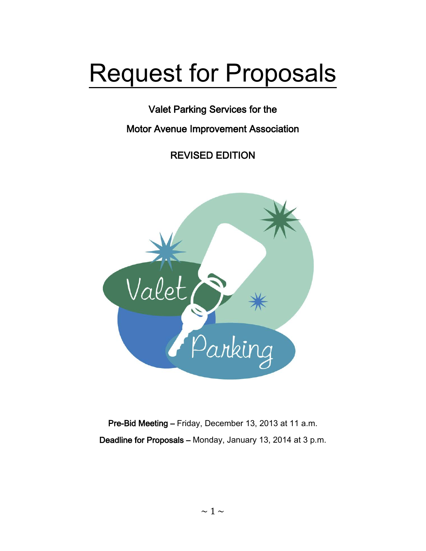# Request for Proposals

Valet Parking Services for the

Motor Avenue Improvement Association

REVISED EDITION



Pre-Bid Meeting – Friday, December 13, 2013 at 11 a.m. Deadline for Proposals – Monday, January 13, 2014 at 3 p.m.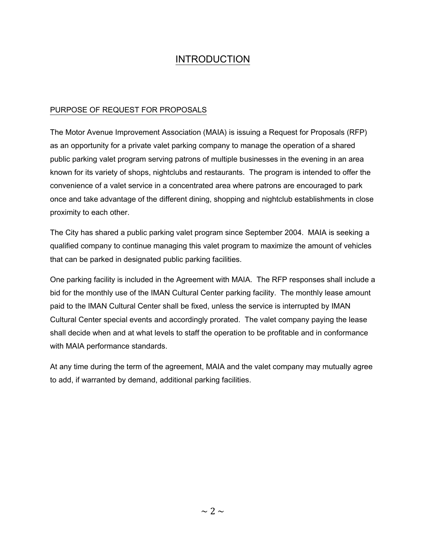## INTRODUCTION

### PURPOSE OF REQUEST FOR PROPOSALS

The Motor Avenue Improvement Association (MAIA) is issuing a Request for Proposals (RFP) as an opportunity for a private valet parking company to manage the operation of a shared public parking valet program serving patrons of multiple businesses in the evening in an area known for its variety of shops, nightclubs and restaurants. The program is intended to offer the convenience of a valet service in a concentrated area where patrons are encouraged to park once and take advantage of the different dining, shopping and nightclub establishments in close proximity to each other.

The City has shared a public parking valet program since September 2004. MAIA is seeking a qualified company to continue managing this valet program to maximize the amount of vehicles that can be parked in designated public parking facilities.

One parking facility is included in the Agreement with MAIA. The RFP responses shall include a bid for the monthly use of the IMAN Cultural Center parking facility. The monthly lease amount paid to the IMAN Cultural Center shall be fixed, unless the service is interrupted by IMAN Cultural Center special events and accordingly prorated. The valet company paying the lease shall decide when and at what levels to staff the operation to be profitable and in conformance with MAIA performance standards.

At any time during the term of the agreement, MAIA and the valet company may mutually agree to add, if warranted by demand, additional parking facilities.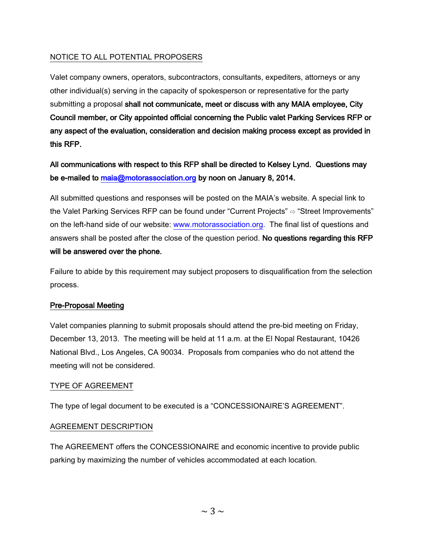### NOTICE TO ALL POTENTIAL PROPOSERS

Valet company owners, operators, subcontractors, consultants, expediters, attorneys or any other individual(s) serving in the capacity of spokesperson or representative for the party submitting a proposal shall not communicate, meet or discuss with any MAIA employee, City Council member, or City appointed official concerning the Public valet Parking Services RFP or any aspect of the evaluation, consideration and decision making process except as provided in this RFP.

All communications with respect to this RFP shall be directed to Kelsey Lynd. Questions may be e-mailed to [maia@motorassociation.org](mailto:maia@motorassociation.org) by noon on January 8, 2014.

All submitted questions and responses will be posted on the MAIA's website. A special link to the Valet Parking Services RFP can be found under "Current Projects" ⇨ "Street Improvements" on the left-hand side of our website: [www.motorassociation.org.](http://www.motorassociation.org/) The final list of questions and answers shall be posted after the close of the question period. No questions regarding this RFP will be answered over the phone.

Failure to abide by this requirement may subject proposers to disqualification from the selection process.

### Pre-Proposal Meeting

Valet companies planning to submit proposals should attend the pre-bid meeting on Friday, December 13, 2013. The meeting will be held at 11 a.m. at the El Nopal Restaurant, 10426 National Blvd., Los Angeles, CA 90034. Proposals from companies who do not attend the meeting will not be considered.

### TYPE OF AGREEMENT

The type of legal document to be executed is a "CONCESSIONAIRE'S AGREEMENT".

### AGREEMENT DESCRIPTION

The AGREEMENT offers the CONCESSIONAIRE and economic incentive to provide public parking by maximizing the number of vehicles accommodated at each location.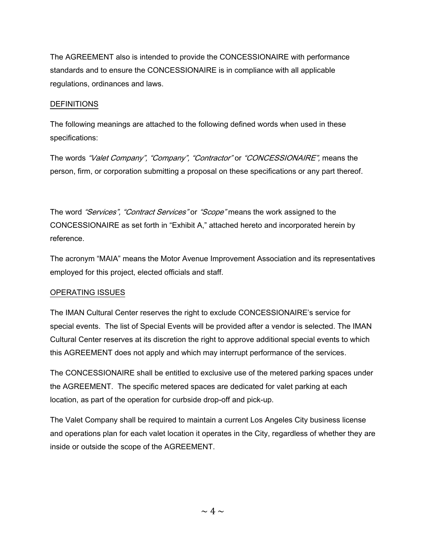The AGREEMENT also is intended to provide the CONCESSIONAIRE with performance standards and to ensure the CONCESSIONAIRE is in compliance with all applicable regulations, ordinances and laws.

### **DEFINITIONS**

The following meanings are attached to the following defined words when used in these specifications:

The words "Valet Company", "Company", "Contractor" or "CONCESSIONAIRE", means the person, firm, or corporation submitting a proposal on these specifications or any part thereof.

The word "Services", "Contract Services" or "Scope" means the work assigned to the CONCESSIONAIRE as set forth in "Exhibit A," attached hereto and incorporated herein by reference.

The acronym "MAIA" means the Motor Avenue Improvement Association and its representatives employed for this project, elected officials and staff.

### OPERATING ISSUES

The IMAN Cultural Center reserves the right to exclude CONCESSIONAIRE's service for special events. The list of Special Events will be provided after a vendor is selected. The IMAN Cultural Center reserves at its discretion the right to approve additional special events to which this AGREEMENT does not apply and which may interrupt performance of the services.

The CONCESSIONAIRE shall be entitled to exclusive use of the metered parking spaces under the AGREEMENT. The specific metered spaces are dedicated for valet parking at each location, as part of the operation for curbside drop-off and pick-up.

The Valet Company shall be required to maintain a current Los Angeles City business license and operations plan for each valet location it operates in the City, regardless of whether they are inside or outside the scope of the AGREEMENT.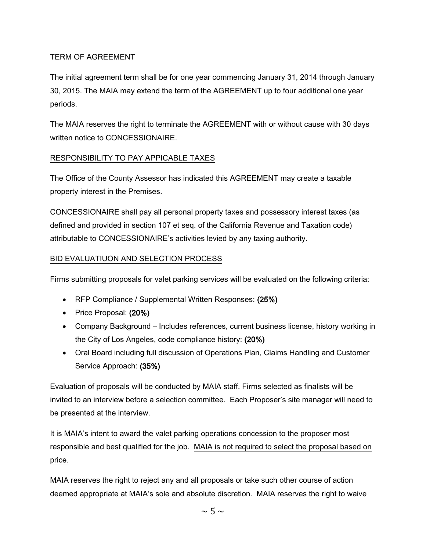### TERM OF AGREEMENT

The initial agreement term shall be for one year commencing January 31, 2014 through January 30, 2015. The MAIA may extend the term of the AGREEMENT up to four additional one year periods.

The MAIA reserves the right to terminate the AGREEMENT with or without cause with 30 days written notice to CONCESSIONAIRE.

### RESPONSIBILITY TO PAY APPICABLE TAXES

The Office of the County Assessor has indicated this AGREEMENT may create a taxable property interest in the Premises.

CONCESSIONAIRE shall pay all personal property taxes and possessory interest taxes (as defined and provided in section 107 et seq. of the California Revenue and Taxation code) attributable to CONCESSIONAIRE's activities levied by any taxing authority.

### BID EVALUATIUON AND SELECTION PROCESS

Firms submitting proposals for valet parking services will be evaluated on the following criteria:

- RFP Compliance / Supplemental Written Responses: (25%)
- Price Proposal: (20%)
- Company Background Includes references, current business license, history working in the City of Los Angeles, code compliance history: (20%)
- Oral Board including full discussion of Operations Plan, Claims Handling and Customer Service Approach: (35%)

Evaluation of proposals will be conducted by MAIA staff. Firms selected as finalists will be invited to an interview before a selection committee. Each Proposer's site manager will need to be presented at the interview.

It is MAIA's intent to award the valet parking operations concession to the proposer most responsible and best qualified for the job. MAIA is not required to select the proposal based on price.

MAIA reserves the right to reject any and all proposals or take such other course of action deemed appropriate at MAIA's sole and absolute discretion. MAIA reserves the right to waive

 $\sim$  5  $\sim$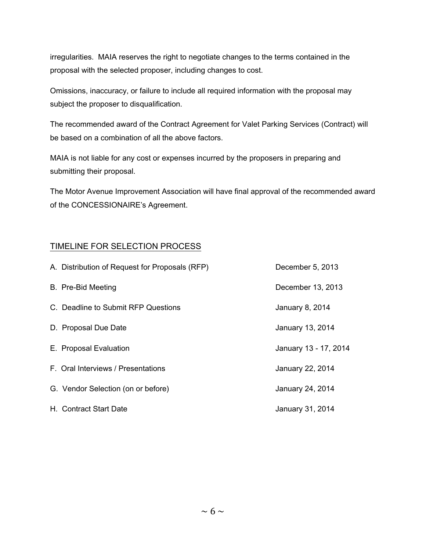irregularities. MAIA reserves the right to negotiate changes to the terms contained in the proposal with the selected proposer, including changes to cost.

Omissions, inaccuracy, or failure to include all required information with the proposal may subject the proposer to disqualification.

The recommended award of the Contract Agreement for Valet Parking Services (Contract) will be based on a combination of all the above factors.

MAIA is not liable for any cost or expenses incurred by the proposers in preparing and submitting their proposal.

The Motor Avenue Improvement Association will have final approval of the recommended award of the CONCESSIONAIRE's Agreement.

### TIMELINE FOR SELECTION PROCESS

| A. Distribution of Request for Proposals (RFP) | December 5, 2013      |
|------------------------------------------------|-----------------------|
| B. Pre-Bid Meeting                             | December 13, 2013     |
| C. Deadline to Submit RFP Questions            | January 8, 2014       |
| D. Proposal Due Date                           | January 13, 2014      |
| E. Proposal Evaluation                         | January 13 - 17, 2014 |
| F. Oral Interviews / Presentations             | January 22, 2014      |
| G. Vendor Selection (on or before)             | January 24, 2014      |
| H. Contract Start Date                         | January 31, 2014      |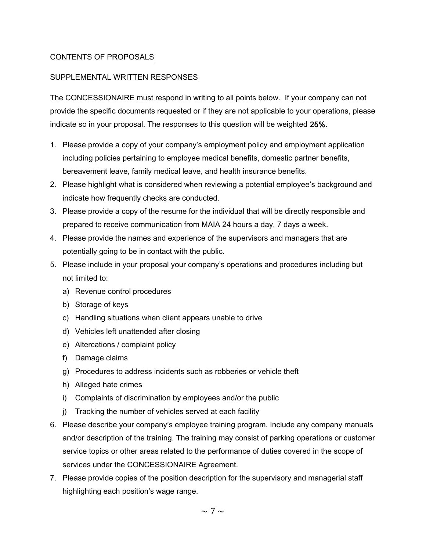### CONTENTS OF PROPOSALS

### SUPPLEMENTAL WRITTEN RESPONSES

The CONCESSIONAIRE must respond in writing to all points below. If your company can not provide the specific documents requested or if they are not applicable to your operations, please indicate so in your proposal. The responses to this question will be weighted 25%.

- 1. Please provide a copy of your company's employment policy and employment application including policies pertaining to employee medical benefits, domestic partner benefits, bereavement leave, family medical leave, and health insurance benefits.
- 2. Please highlight what is considered when reviewing a potential employee's background and indicate how frequently checks are conducted.
- 3. Please provide a copy of the resume for the individual that will be directly responsible and prepared to receive communication from MAIA 24 hours a day, 7 days a week.
- 4. Please provide the names and experience of the supervisors and managers that are potentially going to be in contact with the public.
- 5. Please include in your proposal your company's operations and procedures including but not limited to:
	- a) Revenue control procedures
	- b) Storage of keys
	- c) Handling situations when client appears unable to drive
	- d) Vehicles left unattended after closing
	- e) Altercations / complaint policy
	- f) Damage claims
	- g) Procedures to address incidents such as robberies or vehicle theft
	- h) Alleged hate crimes
	- i) Complaints of discrimination by employees and/or the public
	- j) Tracking the number of vehicles served at each facility
- 6. Please describe your company's employee training program. Include any company manuals and/or description of the training. The training may consist of parking operations or customer service topics or other areas related to the performance of duties covered in the scope of services under the CONCESSIONAIRE Agreement.
- 7. Please provide copies of the position description for the supervisory and managerial staff highlighting each position's wage range.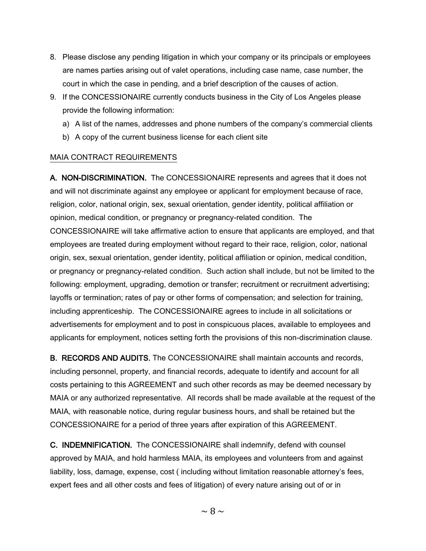- 8. Please disclose any pending litigation in which your company or its principals or employees are names parties arising out of valet operations, including case name, case number, the court in which the case in pending, and a brief description of the causes of action.
- 9. If the CONCESSIONAIRE currently conducts business in the City of Los Angeles please provide the following information:
	- a) A list of the names, addresses and phone numbers of the company's commercial clients
	- b) A copy of the current business license for each client site

### MAIA CONTRACT REQUIREMENTS

A. NON-DISCRIMINATION. The CONCESSIONAIRE represents and agrees that it does not and will not discriminate against any employee or applicant for employment because of race, religion, color, national origin, sex, sexual orientation, gender identity, political affiliation or opinion, medical condition, or pregnancy or pregnancy-related condition. The CONCESSIONAIRE will take affirmative action to ensure that applicants are employed, and that employees are treated during employment without regard to their race, religion, color, national origin, sex, sexual orientation, gender identity, political affiliation or opinion, medical condition, or pregnancy or pregnancy-related condition. Such action shall include, but not be limited to the following: employment, upgrading, demotion or transfer; recruitment or recruitment advertising; layoffs or termination; rates of pay or other forms of compensation; and selection for training, including apprenticeship. The CONCESSIONAIRE agrees to include in all solicitations or advertisements for employment and to post in conspicuous places, available to employees and applicants for employment, notices setting forth the provisions of this non-discrimination clause.

B. RECORDS AND AUDITS. The CONCESSIONAIRE shall maintain accounts and records, including personnel, property, and financial records, adequate to identify and account for all costs pertaining to this AGREEMENT and such other records as may be deemed necessary by MAIA or any authorized representative. All records shall be made available at the request of the MAIA, with reasonable notice, during regular business hours, and shall be retained but the CONCESSIONAIRE for a period of three years after expiration of this AGREEMENT.

C. INDEMNIFICATION. The CONCESSIONAIRE shall indemnify, defend with counsel approved by MAIA, and hold harmless MAIA, its employees and volunteers from and against liability, loss, damage, expense, cost ( including without limitation reasonable attorney's fees, expert fees and all other costs and fees of litigation) of every nature arising out of or in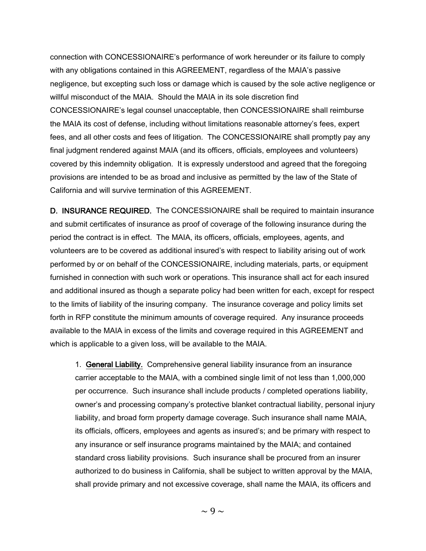connection with CONCESSIONAIRE's performance of work hereunder or its failure to comply with any obligations contained in this AGREEMENT, regardless of the MAIA's passive negligence, but excepting such loss or damage which is caused by the sole active negligence or willful misconduct of the MAIA. Should the MAIA in its sole discretion find CONCESSIONAIRE's legal counsel unacceptable, then CONCESSIONAIRE shall reimburse the MAIA its cost of defense, including without limitations reasonable attorney's fees, expert fees, and all other costs and fees of litigation. The CONCESSIONAIRE shall promptly pay any final judgment rendered against MAIA (and its officers, officials, employees and volunteers) covered by this indemnity obligation. It is expressly understood and agreed that the foregoing provisions are intended to be as broad and inclusive as permitted by the law of the State of California and will survive termination of this AGREEMENT.

D. INSURANCE REQUIRED. The CONCESSIONAIRE shall be required to maintain insurance and submit certificates of insurance as proof of coverage of the following insurance during the period the contract is in effect. The MAIA, its officers, officials, employees, agents, and volunteers are to be covered as additional insured's with respect to liability arising out of work performed by or on behalf of the CONCESSIONAIRE, including materials, parts, or equipment furnished in connection with such work or operations. This insurance shall act for each insured and additional insured as though a separate policy had been written for each, except for respect to the limits of liability of the insuring company. The insurance coverage and policy limits set forth in RFP constitute the minimum amounts of coverage required. Any insurance proceeds available to the MAIA in excess of the limits and coverage required in this AGREEMENT and which is applicable to a given loss, will be available to the MAIA.

1. General Liability. Comprehensive general liability insurance from an insurance carrier acceptable to the MAIA, with a combined single limit of not less than 1,000,000 per occurrence. Such insurance shall include products / completed operations liability, owner's and processing company's protective blanket contractual liability, personal injury liability, and broad form property damage coverage. Such insurance shall name MAIA, its officials, officers, employees and agents as insured's; and be primary with respect to any insurance or self insurance programs maintained by the MAIA; and contained standard cross liability provisions. Such insurance shall be procured from an insurer authorized to do business in California, shall be subject to written approval by the MAIA, shall provide primary and not excessive coverage, shall name the MAIA, its officers and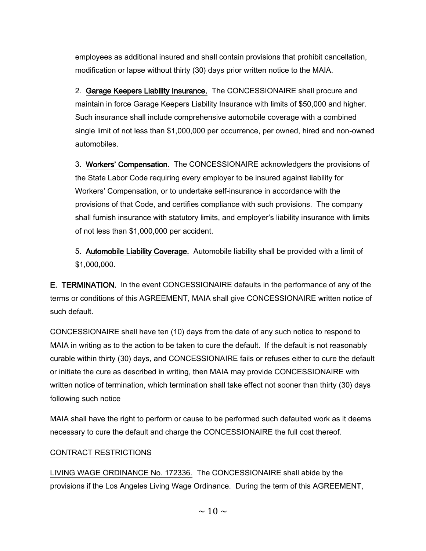employees as additional insured and shall contain provisions that prohibit cancellation, modification or lapse without thirty (30) days prior written notice to the MAIA.

2. Garage Keepers Liability Insurance. The CONCESSIONAIRE shall procure and maintain in force Garage Keepers Liability Insurance with limits of \$50,000 and higher. Such insurance shall include comprehensive automobile coverage with a combined single limit of not less than \$1,000,000 per occurrence, per owned, hired and non-owned automobiles.

3. Workers' Compensation. The CONCESSIONAIRE acknowledgers the provisions of the State Labor Code requiring every employer to be insured against liability for Workers' Compensation, or to undertake self-insurance in accordance with the provisions of that Code, and certifies compliance with such provisions. The company shall furnish insurance with statutory limits, and employer's liability insurance with limits of not less than \$1,000,000 per accident.

5. Automobile Liability Coverage. Automobile liability shall be provided with a limit of \$1,000,000.

E. TERMINATION. In the event CONCESSIONAIRE defaults in the performance of any of the terms or conditions of this AGREEMENT, MAIA shall give CONCESSIONAIRE written notice of such default.

CONCESSIONAIRE shall have ten (10) days from the date of any such notice to respond to MAIA in writing as to the action to be taken to cure the default. If the default is not reasonably curable within thirty (30) days, and CONCESSIONAIRE fails or refuses either to cure the default or initiate the cure as described in writing, then MAIA may provide CONCESSIONAIRE with written notice of termination, which termination shall take effect not sooner than thirty (30) days following such notice

MAIA shall have the right to perform or cause to be performed such defaulted work as it deems necessary to cure the default and charge the CONCESSIONAIRE the full cost thereof.

### CONTRACT RESTRICTIONS

LIVING WAGE ORDINANCE No. 172336. The CONCESSIONAIRE shall abide by the provisions if the Los Angeles Living Wage Ordinance. During the term of this AGREEMENT,

 $\sim$  10  $\sim$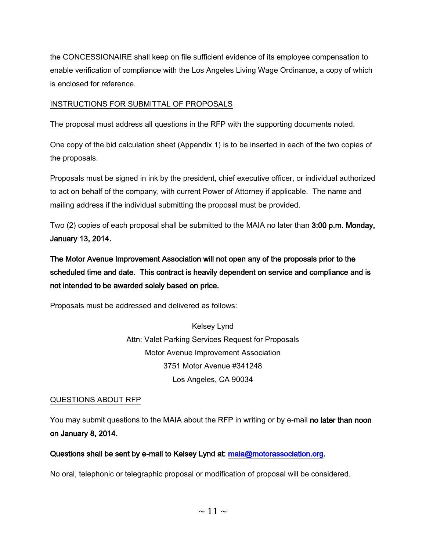the CONCESSIONAIRE shall keep on file sufficient evidence of its employee compensation to enable verification of compliance with the Los Angeles Living Wage Ordinance, a copy of which is enclosed for reference.

### INSTRUCTIONS FOR SUBMITTAL OF PROPOSALS

The proposal must address all questions in the RFP with the supporting documents noted.

One copy of the bid calculation sheet (Appendix 1) is to be inserted in each of the two copies of the proposals.

Proposals must be signed in ink by the president, chief executive officer, or individual authorized to act on behalf of the company, with current Power of Attorney if applicable. The name and mailing address if the individual submitting the proposal must be provided.

Two (2) copies of each proposal shall be submitted to the MAIA no later than 3:00 p.m. Monday, January 13, 2014.

The Motor Avenue Improvement Association will not open any of the proposals prior to the scheduled time and date. This contract is heavily dependent on service and compliance and is not intended to be awarded solely based on price.

Proposals must be addressed and delivered as follows:

Kelsey Lynd Attn: Valet Parking Services Request for Proposals Motor Avenue Improvement Association 3751 Motor Avenue #341248 Los Angeles, CA 90034

### QUESTIONS ABOUT RFP

You may submit questions to the MAIA about the RFP in writing or by e-mail no later than noon on January 8, 2014.

Questions shall be sent by e-mail to Kelsey Lynd at: [maia@motorassociation.org.](mailto:maia@motorassociation.org)

No oral, telephonic or telegraphic proposal or modification of proposal will be considered.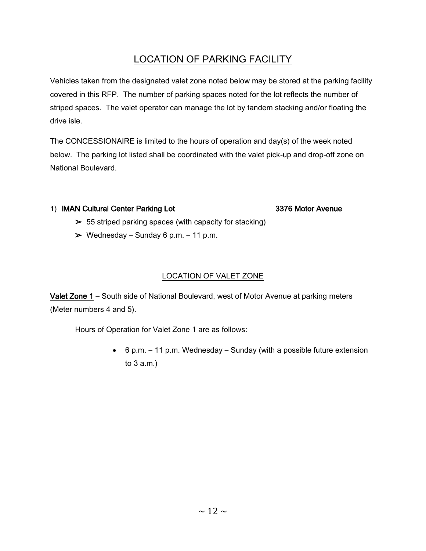# LOCATION OF PARKING FACILITY

Vehicles taken from the designated valet zone noted below may be stored at the parking facility covered in this RFP. The number of parking spaces noted for the lot reflects the number of striped spaces. The valet operator can manage the lot by tandem stacking and/or floating the drive isle.

The CONCESSIONAIRE is limited to the hours of operation and day(s) of the week noted below. The parking lot listed shall be coordinated with the valet pick-up and drop-off zone on National Boulevard.

### 1) IMAN Cultural Center Parking Lot 3376 Motor Avenue

- $\geq$  55 striped parking spaces (with capacity for stacking)
- $\triangleright$  Wednesday Sunday 6 p.m. 11 p.m.

### LOCATION OF VALET ZONE

Valet Zone 1 – South side of National Boulevard, west of Motor Avenue at parking meters (Meter numbers 4 and 5).

Hours of Operation for Valet Zone 1 are as follows:

 6 p.m. – 11 p.m. Wednesday – Sunday (with a possible future extension to 3 a.m.)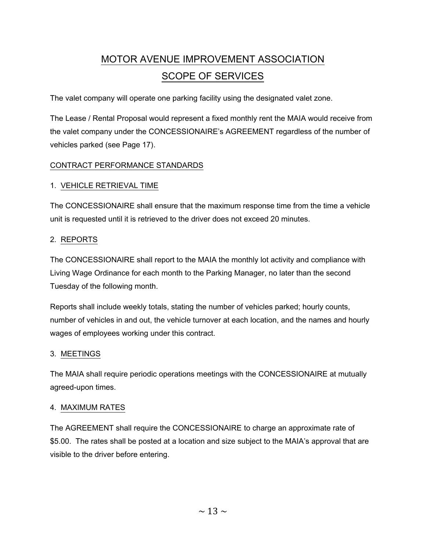# MOTOR AVENUE IMPROVEMENT ASSOCIATION SCOPE OF SERVICES

The valet company will operate one parking facility using the designated valet zone.

The Lease / Rental Proposal would represent a fixed monthly rent the MAIA would receive from the valet company under the CONCESSIONAIRE's AGREEMENT regardless of the number of vehicles parked (see Page 17).

### CONTRACT PERFORMANCE STANDARDS

### 1. VEHICLE RETRIEVAL TIME

The CONCESSIONAIRE shall ensure that the maximum response time from the time a vehicle unit is requested until it is retrieved to the driver does not exceed 20 minutes.

### 2. REPORTS

The CONCESSIONAIRE shall report to the MAIA the monthly lot activity and compliance with Living Wage Ordinance for each month to the Parking Manager, no later than the second Tuesday of the following month.

Reports shall include weekly totals, stating the number of vehicles parked; hourly counts, number of vehicles in and out, the vehicle turnover at each location, and the names and hourly wages of employees working under this contract.

### 3. MEETINGS

The MAIA shall require periodic operations meetings with the CONCESSIONAIRE at mutually agreed-upon times.

### 4. MAXIMUM RATES

The AGREEMENT shall require the CONCESSIONAIRE to charge an approximate rate of \$5.00. The rates shall be posted at a location and size subject to the MAIA's approval that are visible to the driver before entering.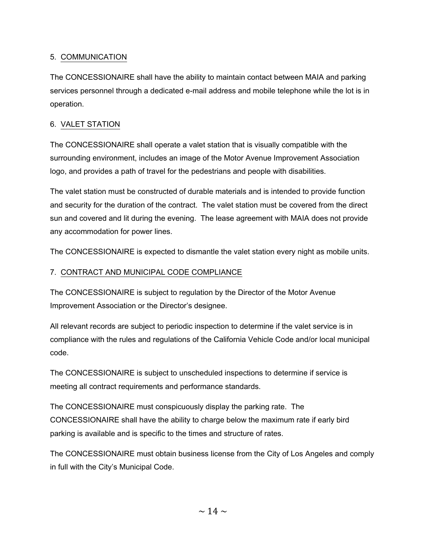### 5. COMMUNICATION

The CONCESSIONAIRE shall have the ability to maintain contact between MAIA and parking services personnel through a dedicated e-mail address and mobile telephone while the lot is in operation.

### 6. VALET STATION

The CONCESSIONAIRE shall operate a valet station that is visually compatible with the surrounding environment, includes an image of the Motor Avenue Improvement Association logo, and provides a path of travel for the pedestrians and people with disabilities.

The valet station must be constructed of durable materials and is intended to provide function and security for the duration of the contract. The valet station must be covered from the direct sun and covered and lit during the evening. The lease agreement with MAIA does not provide any accommodation for power lines.

The CONCESSIONAIRE is expected to dismantle the valet station every night as mobile units.

### 7. CONTRACT AND MUNICIPAL CODE COMPLIANCE

The CONCESSIONAIRE is subject to regulation by the Director of the Motor Avenue Improvement Association or the Director's designee.

All relevant records are subject to periodic inspection to determine if the valet service is in compliance with the rules and regulations of the California Vehicle Code and/or local municipal code.

The CONCESSIONAIRE is subject to unscheduled inspections to determine if service is meeting all contract requirements and performance standards.

The CONCESSIONAIRE must conspicuously display the parking rate. The CONCESSIONAIRE shall have the ability to charge below the maximum rate if early bird parking is available and is specific to the times and structure of rates.

The CONCESSIONAIRE must obtain business license from the City of Los Angeles and comply in full with the City's Municipal Code.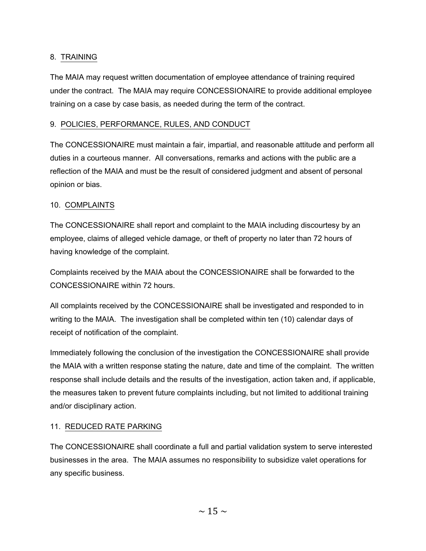### 8. TRAINING

The MAIA may request written documentation of employee attendance of training required under the contract. The MAIA may require CONCESSIONAIRE to provide additional employee training on a case by case basis, as needed during the term of the contract.

### 9. POLICIES, PERFORMANCE, RULES, AND CONDUCT

The CONCESSIONAIRE must maintain a fair, impartial, and reasonable attitude and perform all duties in a courteous manner. All conversations, remarks and actions with the public are a reflection of the MAIA and must be the result of considered judgment and absent of personal opinion or bias.

### 10. COMPLAINTS

The CONCESSIONAIRE shall report and complaint to the MAIA including discourtesy by an employee, claims of alleged vehicle damage, or theft of property no later than 72 hours of having knowledge of the complaint.

Complaints received by the MAIA about the CONCESSIONAIRE shall be forwarded to the CONCESSIONAIRE within 72 hours.

All complaints received by the CONCESSIONAIRE shall be investigated and responded to in writing to the MAIA. The investigation shall be completed within ten (10) calendar days of receipt of notification of the complaint.

Immediately following the conclusion of the investigation the CONCESSIONAIRE shall provide the MAIA with a written response stating the nature, date and time of the complaint. The written response shall include details and the results of the investigation, action taken and, if applicable, the measures taken to prevent future complaints including, but not limited to additional training and/or disciplinary action.

### 11. REDUCED RATE PARKING

The CONCESSIONAIRE shall coordinate a full and partial validation system to serve interested businesses in the area. The MAIA assumes no responsibility to subsidize valet operations for any specific business.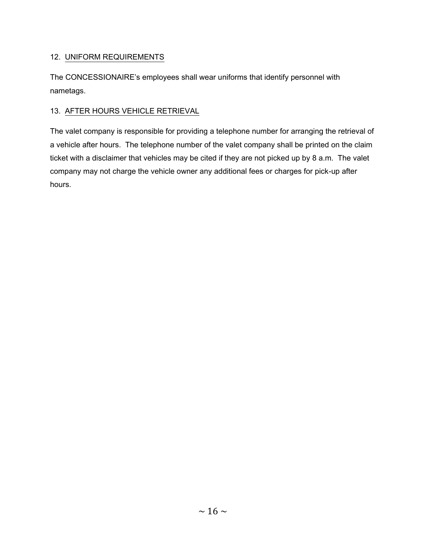### 12. UNIFORM REQUIREMENTS

The CONCESSIONAIRE's employees shall wear uniforms that identify personnel with nametags.

### 13. AFTER HOURS VEHICLE RETRIEVAL

The valet company is responsible for providing a telephone number for arranging the retrieval of a vehicle after hours. The telephone number of the valet company shall be printed on the claim ticket with a disclaimer that vehicles may be cited if they are not picked up by 8 a.m. The valet company may not charge the vehicle owner any additional fees or charges for pick-up after hours.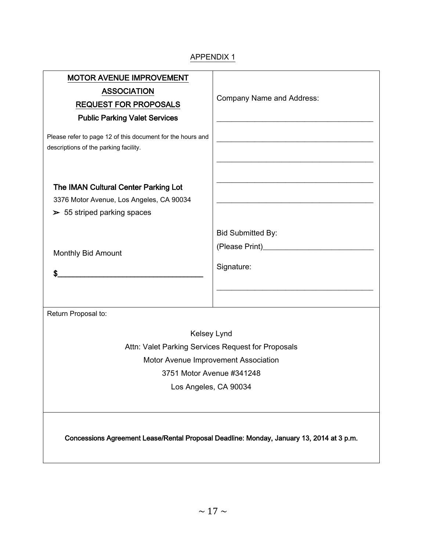### APPENDIX 1

| <b>MOTOR AVENUE IMPROVEMENT</b><br><b>ASSOCIATION</b><br><b>REQUEST FOR PROPOSALS</b><br><b>Public Parking Valet Services</b> | <b>Company Name and Address:</b>                                                                                      |  |  |
|-------------------------------------------------------------------------------------------------------------------------------|-----------------------------------------------------------------------------------------------------------------------|--|--|
| Please refer to page 12 of this document for the hours and<br>descriptions of the parking facility.                           |                                                                                                                       |  |  |
| The IMAN Cultural Center Parking Lot                                                                                          | <u> 1980 - Johann John Stone, meil in der Stone aus der Stone aus der Stone aus der Stone anderen Stone aus der S</u> |  |  |
| 3376 Motor Avenue, Los Angeles, CA 90034                                                                                      | <u> 1980 - Johann John Stone, mensk politik fotograf (d. 1980)</u>                                                    |  |  |
| $\geq 55$ striped parking spaces                                                                                              |                                                                                                                       |  |  |
|                                                                                                                               | <b>Bid Submitted By:</b>                                                                                              |  |  |
|                                                                                                                               |                                                                                                                       |  |  |
| Monthly Bid Amount                                                                                                            |                                                                                                                       |  |  |
| \$                                                                                                                            | Signature:                                                                                                            |  |  |
|                                                                                                                               |                                                                                                                       |  |  |
|                                                                                                                               |                                                                                                                       |  |  |
| Return Proposal to:                                                                                                           |                                                                                                                       |  |  |
| Kelsey Lynd                                                                                                                   |                                                                                                                       |  |  |
| Attn: Valet Parking Services Request for Proposals                                                                            |                                                                                                                       |  |  |
| Motor Avenue Improvement Association                                                                                          |                                                                                                                       |  |  |
| 3751 Motor Avenue #341248                                                                                                     |                                                                                                                       |  |  |
| Los Angeles, CA 90034                                                                                                         |                                                                                                                       |  |  |
|                                                                                                                               |                                                                                                                       |  |  |
| Concessions Agreement Lease/Rental Proposal Deadline: Monday, January 13, 2014 at 3 p.m.                                      |                                                                                                                       |  |  |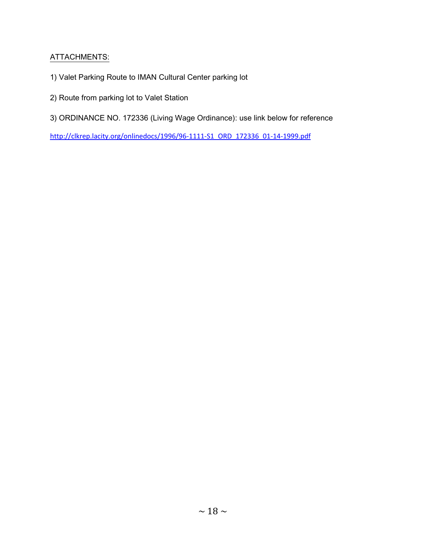### ATTACHMENTS:

- 1) Valet Parking Route to IMAN Cultural Center parking lot
- 2) Route from parking lot to Valet Station
- 3) ORDINANCE NO. 172336 (Living Wage Ordinance): use link below for reference

[http://clkrep.lacity.org/onlinedocs/1996/96-1111-S1\\_ORD\\_172336\\_01-14-1999.pdf](http://clkrep.lacity.org/onlinedocs/1996/96-1111-S1_ORD_172336_01-14-1999.pdf)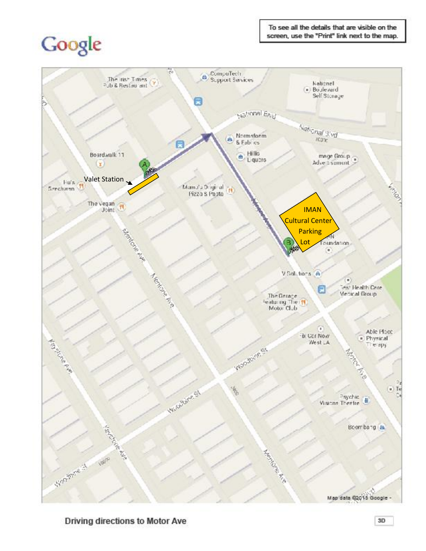